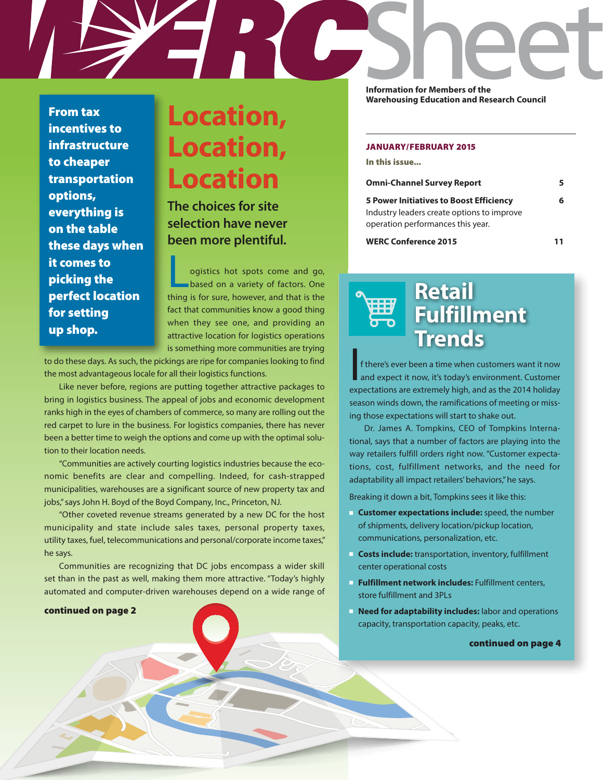**Information for Members of the** 

**From tax incentives to infrastructure to cheaper transportation options, everything is on the table these days when it comes to picking the perfect location for setting up shop.**

# **Location, Location, Location**

**The choices for site selection have never been more plentiful.**

ogistics hot spots come and go, based on a variety of factors. One thing is for sure, however, and that is the fact that communities know a good thing when they see one, and providing an attractive location for logistics operations is something more communities are trying

to do these days. As such, the pickings are ripe for companies looking to find the most advantageous locale for all their logistics functions.

Like never before, regions are putting together attractive packages to bring in logistics business. The appeal of jobs and economic development ranks high in the eyes of chambers of commerce, so many are rolling out the red carpet to lure in the business. For logistics companies, there has never been a better time to weigh the options and come up with the optimal solution to their location needs.

"Communities are actively courting logistics industries because the economic benefits are clear and compelling. Indeed, for cash-strapped municipalities, warehouses are a significant source of new property tax and jobs," says John H. Boyd of the Boyd Company, Inc., Princeton, NJ.

"Other coveted revenue streams generated by a new DC for the host municipality and state include sales taxes, personal property taxes, utility taxes, fuel, telecommunications and personal/corporate income taxes," he says.

Communities are recognizing that DC jobs encompass a wider skill set than in the past as well, making them more attractive. "Today's highly automated and computer-driven warehouses depend on a wide range of

## **continued on page 2**

**Warehousing Education and Research Council**

### **JANUARY/FEBRUARY 2015**

**In this issue...**

| <b>Omni-Channel Survey Report</b>                                               | 5. |
|---------------------------------------------------------------------------------|----|
| <b>5 Power Initiatives to Boost Efficiency</b>                                  | 6  |
| Industry leaders create options to improve<br>operation performances this year. |    |
| <b>WERC Conference 2015</b>                                                     |    |

**Retail Fulfillment Trends**

 $\overline{\mathsf{I}}$ f there's ever been a time when customers want it now and expect it now, it's today's environment. Customer expectations are extremely high, and as the 2014 holiday season winds down, the ramifications of meeting or missing those expectations will start to shake out.

Dr. James A. Tompkins, CEO of Tompkins International, says that a number of factors are playing into the way retailers fulfill orders right now. "Customer expectations, cost, fulfillment networks, and the need for adaptability all impact retailers' behaviors," he says.

Breaking it down a bit, Tompkins sees it like this:

- **Customer expectations include:** speed, the number of shipments, delivery location/pickup location, communications, personalization, etc.
- **Costs include:** transportation, inventory, fulfillment center operational costs
- **Fulfillment network includes:** Fulfillment centers, store fulfillment and 3PLs
- **Need for adaptability includes:** labor and operations capacity, transportation capacity, peaks, etc.

#### **continued on page 4**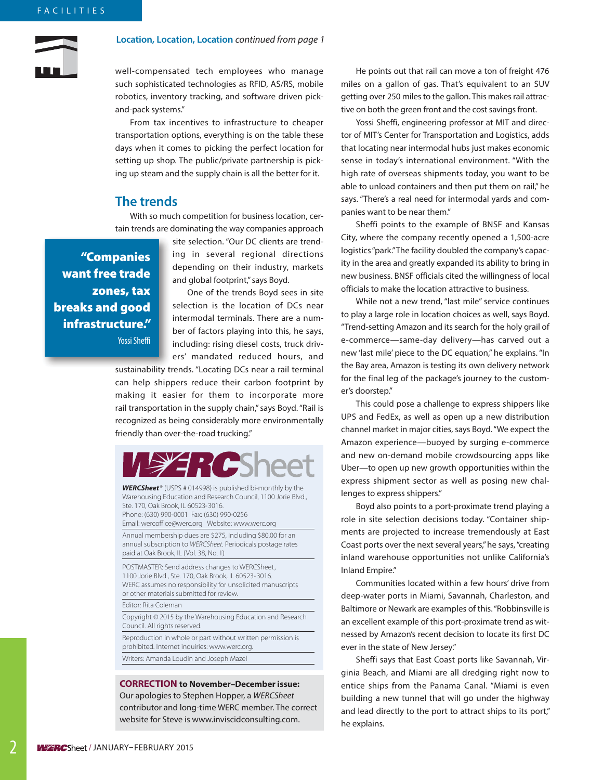### **Location, Location, Location** continued from page 1

well-compensated tech employees who manage such sophisticated technologies as RFID, AS/RS, mobile robotics, inventory tracking, and software driven pickand-pack systems."

From tax incentives to infrastructure to cheaper transportation options, everything is on the table these days when it comes to picking the perfect location for setting up shop. The public/private partnership is picking up steam and the supply chain is all the better for it.

# **The trends**

With so much competition for business location, certain trends are dominating the way companies approach

 **"Companies want free trade zones, tax breaks and good infrastructure."** Yossi Sheffi

site selection. "Our DC clients are trending in several regional directions depending on their industry, markets and global footprint," says Boyd.

One of the trends Boyd sees in site selection is the location of DCs near intermodal terminals. There are a number of factors playing into this, he says, including: rising diesel costs, truck drivers' mandated reduced hours, and

sustainability trends. "Locating DCs near a rail terminal can help shippers reduce their carbon footprint by making it easier for them to incorporate more rail transportation in the supply chain," says Boyd. "Rail is recognized as being considerably more environmentally friendly than over-the-road trucking."



**WERCSheet**® (USPS # 014998) is published bi-monthly by the Warehousing Education and Research Council, 1100 Jorie Blvd., Ste. 170, Oak Brook, IL 60523-3016. Phone: (630) 990-0001 Fax: (630) 990-0256

Email: wercoffice@werc.org Website: www.werc.org

Annual membership dues are \$275, including \$80.00 for an annual subscription to WERCSheet. Periodicals postage rates paid at Oak Brook, IL (Vol. 38, No. 1)

POSTMASTER: Send address changes to WERCSheet, 1100 Jorie Blvd., Ste. 170, Oak Brook, IL 60523-3016. WERC assumes no responsibility for unsolicited manuscripts or other materials submitted for review.

Editor: Rita Coleman

Copyright © 2015 by the Warehousing Education and Research Council. All rights reserved.

Reproduction in whole or part without written permission is prohibited. Internet inquiries: www.werc.org. Writers: Amanda Loudin and Joseph Mazel

### **CORRECTION to November–December issue:**

Our apologies to Stephen Hopper, a WERCSheet contributor and long-time WERC member. The correct website for Steve is www.inviscidconsulting.com.

He points out that rail can move a ton of freight 476 miles on a gallon of gas. That's equivalent to an SUV getting over 250 miles to the gallon. This makes rail attractive on both the green front and the cost savings front.

Yossi Sheffi, engineering professor at MIT and director of MIT's Center for Transportation and Logistics, adds that locating near intermodal hubs just makes economic sense in today's international environment. "With the high rate of overseas shipments today, you want to be able to unload containers and then put them on rail," he says. "There's a real need for intermodal yards and companies want to be near them."

Sheffi points to the example of BNSF and Kansas City, where the company recently opened a 1,500-acre logistics "park." The facility doubled the company's capacity in the area and greatly expanded its ability to bring in new business. BNSF officials cited the willingness of local officials to make the location attractive to business.

While not a new trend, "last mile" service continues to play a large role in location choices as well, says Boyd. "Trend-setting Amazon and its search for the holy grail of e-commerce—same-day delivery—has carved out a new 'last mile' piece to the DC equation," he explains. "In the Bay area, Amazon is testing its own delivery network for the final leg of the package's journey to the customer's doorstep."

This could pose a challenge to express shippers like UPS and FedEx, as well as open up a new distribution channel market in major cities, says Boyd. "We expect the Amazon experience—buoyed by surging e-commerce and new on-demand mobile crowdsourcing apps like Uber—to open up new growth opportunities within the express shipment sector as well as posing new challenges to express shippers."

Boyd also points to a port-proximate trend playing a role in site selection decisions today. "Container shipments are projected to increase tremendously at East Coast ports over the next several years," he says, "creating inland warehouse opportunities not unlike California's Inland Empire."

Communities located within a few hours' drive from deep-water ports in Miami, Savannah, Charleston, and Baltimore or Newark are examples of this. "Robbinsville is an excellent example of this port-proximate trend as witnessed by Amazon's recent decision to locate its first DC ever in the state of New Jersey."

Sheffi says that East Coast ports like Savannah, Virginia Beach, and Miami are all dredging right now to entice ships from the Panama Canal. "Miami is even building a new tunnel that will go under the highway and lead directly to the port to attract ships to its port," he explains.